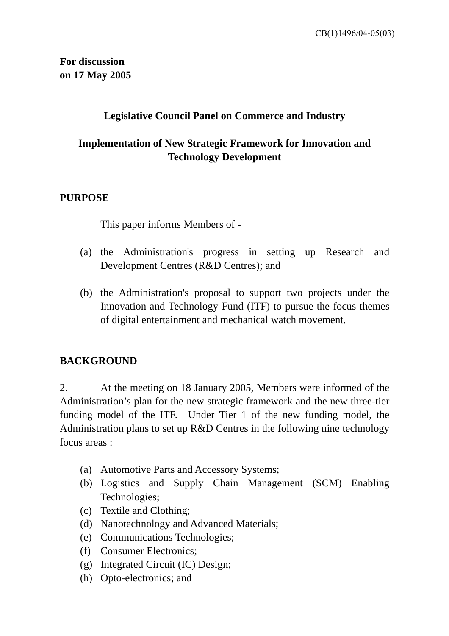### **Legislative Council Panel on Commerce and Industry**

## **Implementation of New Strategic Framework for Innovation and Technology Development**

### **PURPOSE**

This paper informs Members of -

- (a) the Administration's progress in setting up Research and Development Centres (R&D Centres); and
- (b) the Administration's proposal to support two projects under the Innovation and Technology Fund (ITF) to pursue the focus themes of digital entertainment and mechanical watch movement.

### **BACKGROUND**

2. At the meeting on 18 January 2005, Members were informed of the Administration's plan for the new strategic framework and the new three-tier funding model of the ITF. Under Tier 1 of the new funding model, the Administration plans to set up R&D Centres in the following nine technology focus areas :

- (a) Automotive Parts and Accessory Systems;
- (b) Logistics and Supply Chain Management (SCM) Enabling Technologies;
- (c) Textile and Clothing;
- (d) Nanotechnology and Advanced Materials;
- (e) Communications Technologies;
- (f) Consumer Electronics;
- (g) Integrated Circuit (IC) Design;
- (h) Opto-electronics; and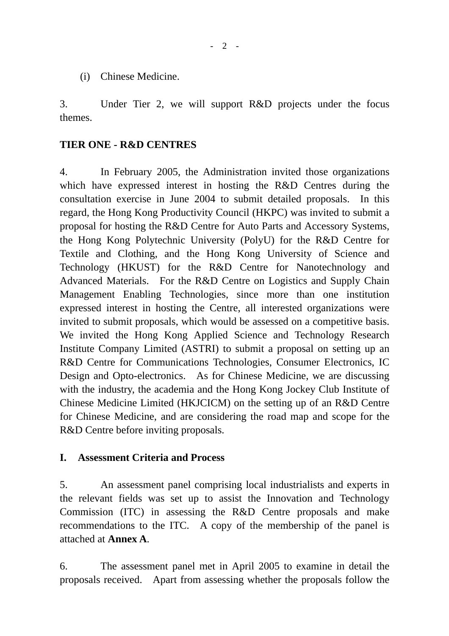(i) Chinese Medicine.

3. Under Tier 2, we will support R&D projects under the focus themes.

### **TIER ONE - R&D CENTRES**

4. In February 2005, the Administration invited those organizations which have expressed interest in hosting the R&D Centres during the consultation exercise in June 2004 to submit detailed proposals. In this regard, the Hong Kong Productivity Council (HKPC) was invited to submit a proposal for hosting the R&D Centre for Auto Parts and Accessory Systems, the Hong Kong Polytechnic University (PolyU) for the R&D Centre for Textile and Clothing, and the Hong Kong University of Science and Technology (HKUST) for the R&D Centre for Nanotechnology and Advanced Materials. For the R&D Centre on Logistics and Supply Chain Management Enabling Technologies, since more than one institution expressed interest in hosting the Centre, all interested organizations were invited to submit proposals, which would be assessed on a competitive basis. We invited the Hong Kong Applied Science and Technology Research Institute Company Limited (ASTRI) to submit a proposal on setting up an R&D Centre for Communications Technologies, Consumer Electronics, IC Design and Opto-electronics. As for Chinese Medicine, we are discussing with the industry, the academia and the Hong Kong Jockey Club Institute of Chinese Medicine Limited (HKJCICM) on the setting up of an R&D Centre for Chinese Medicine, and are considering the road map and scope for the R&D Centre before inviting proposals.

### **I. Assessment Criteria and Process**

5. An assessment panel comprising local industrialists and experts in the relevant fields was set up to assist the Innovation and Technology Commission (ITC) in assessing the R&D Centre proposals and make recommendations to the ITC. A copy of the membership of the panel is attached at **Annex A**.

6. The assessment panel met in April 2005 to examine in detail the proposals received. Apart from assessing whether the proposals follow the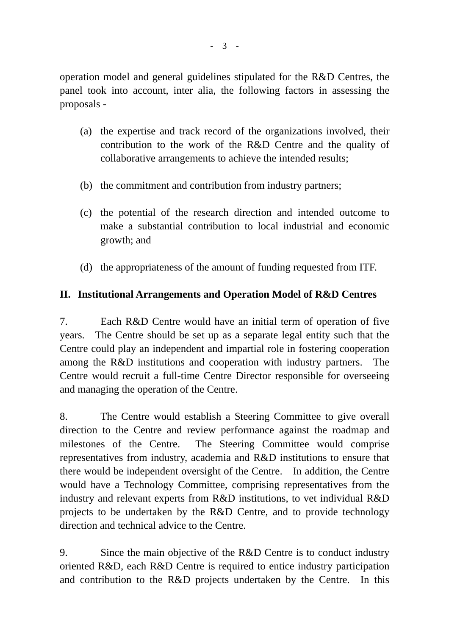operation model and general guidelines stipulated for the R&D Centres, the panel took into account, inter alia, the following factors in assessing the proposals -

- (a) the expertise and track record of the organizations involved, their contribution to the work of the R&D Centre and the quality of collaborative arrangements to achieve the intended results;
- (b) the commitment and contribution from industry partners;
- (c) the potential of the research direction and intended outcome to make a substantial contribution to local industrial and economic growth; and
- (d) the appropriateness of the amount of funding requested from ITF.

### **II. Institutional Arrangements and Operation Model of R&D Centres**

7. Each R&D Centre would have an initial term of operation of five years. The Centre should be set up as a separate legal entity such that the Centre could play an independent and impartial role in fostering cooperation among the R&D institutions and cooperation with industry partners. The Centre would recruit a full-time Centre Director responsible for overseeing and managing the operation of the Centre.

8. The Centre would establish a Steering Committee to give overall direction to the Centre and review performance against the roadmap and milestones of the Centre. The Steering Committee would comprise representatives from industry, academia and R&D institutions to ensure that there would be independent oversight of the Centre. In addition, the Centre would have a Technology Committee, comprising representatives from the industry and relevant experts from R&D institutions, to vet individual R&D projects to be undertaken by the R&D Centre, and to provide technology direction and technical advice to the Centre.

9. Since the main objective of the R&D Centre is to conduct industry oriented R&D, each R&D Centre is required to entice industry participation and contribution to the R&D projects undertaken by the Centre. In this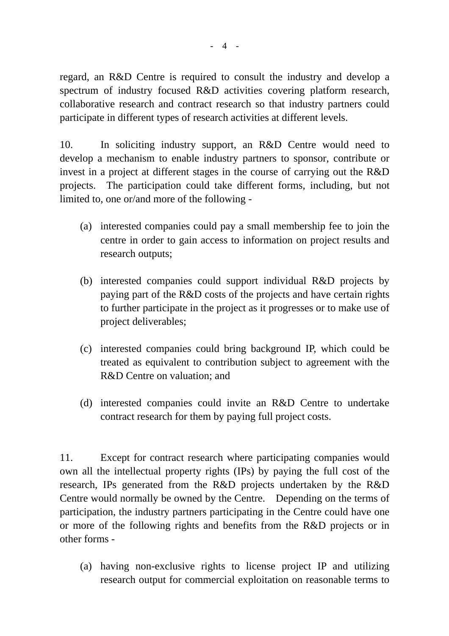regard, an R&D Centre is required to consult the industry and develop a spectrum of industry focused R&D activities covering platform research, collaborative research and contract research so that industry partners could participate in different types of research activities at different levels.

10. In soliciting industry support, an R&D Centre would need to develop a mechanism to enable industry partners to sponsor, contribute or invest in a project at different stages in the course of carrying out the R&D projects. The participation could take different forms, including, but not limited to, one or/and more of the following -

- (a) interested companies could pay a small membership fee to join the centre in order to gain access to information on project results and research outputs;
- (b) interested companies could support individual R&D projects by paying part of the R&D costs of the projects and have certain rights to further participate in the project as it progresses or to make use of project deliverables;
- (c) interested companies could bring background IP, which could be treated as equivalent to contribution subject to agreement with the R&D Centre on valuation; and
- (d) interested companies could invite an R&D Centre to undertake contract research for them by paying full project costs.

11. Except for contract research where participating companies would own all the intellectual property rights (IPs) by paying the full cost of the research, IPs generated from the R&D projects undertaken by the R&D Centre would normally be owned by the Centre. Depending on the terms of participation, the industry partners participating in the Centre could have one or more of the following rights and benefits from the R&D projects or in other forms -

 (a) having non-exclusive rights to license project IP and utilizing research output for commercial exploitation on reasonable terms to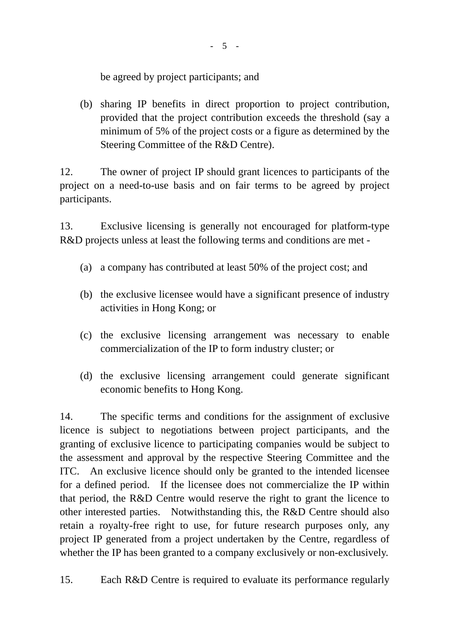be agreed by project participants; and

 (b) sharing IP benefits in direct proportion to project contribution, provided that the project contribution exceeds the threshold (say a minimum of 5% of the project costs or a figure as determined by the Steering Committee of the R&D Centre).

12. The owner of project IP should grant licences to participants of the project on a need-to-use basis and on fair terms to be agreed by project participants.

13. Exclusive licensing is generally not encouraged for platform-type R&D projects unless at least the following terms and conditions are met -

- (a) a company has contributed at least 50% of the project cost; and
- (b) the exclusive licensee would have a significant presence of industry activities in Hong Kong; or
- (c) the exclusive licensing arrangement was necessary to enable commercialization of the IP to form industry cluster; or
- (d) the exclusive licensing arrangement could generate significant economic benefits to Hong Kong.

14. The specific terms and conditions for the assignment of exclusive licence is subject to negotiations between project participants, and the granting of exclusive licence to participating companies would be subject to the assessment and approval by the respective Steering Committee and the ITC. An exclusive licence should only be granted to the intended licensee for a defined period. If the licensee does not commercialize the IP within that period, the R&D Centre would reserve the right to grant the licence to other interested parties. Notwithstanding this, the R&D Centre should also retain a royalty-free right to use, for future research purposes only, any project IP generated from a project undertaken by the Centre, regardless of whether the IP has been granted to a company exclusively or non-exclusively.

15. Each R&D Centre is required to evaluate its performance regularly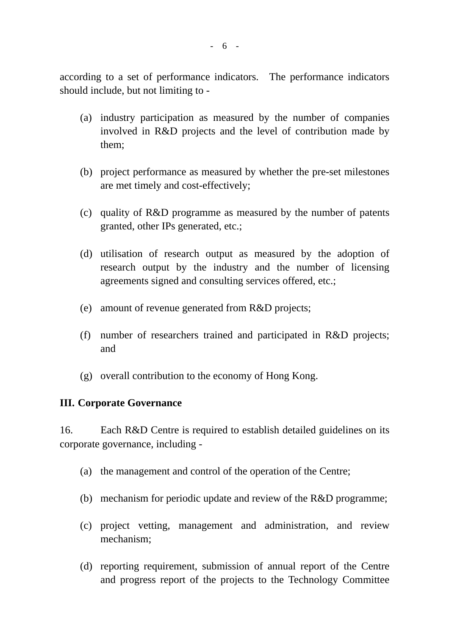according to a set of performance indicators. The performance indicators should include, but not limiting to -

- (a) industry participation as measured by the number of companies involved in R&D projects and the level of contribution made by them;
- (b) project performance as measured by whether the pre-set milestones are met timely and cost-effectively;
- (c) quality of R&D programme as measured by the number of patents granted, other IPs generated, etc.;
- (d) utilisation of research output as measured by the adoption of research output by the industry and the number of licensing agreements signed and consulting services offered, etc.;
- (e) amount of revenue generated from R&D projects;
- (f) number of researchers trained and participated in R&D projects; and
- (g) overall contribution to the economy of Hong Kong.

### **III. Corporate Governance**

16. Each R&D Centre is required to establish detailed guidelines on its corporate governance, including -

- (a) the management and control of the operation of the Centre;
- (b) mechanism for periodic update and review of the R&D programme;
- (c) project vetting, management and administration, and review mechanism;
- (d) reporting requirement, submission of annual report of the Centre and progress report of the projects to the Technology Committee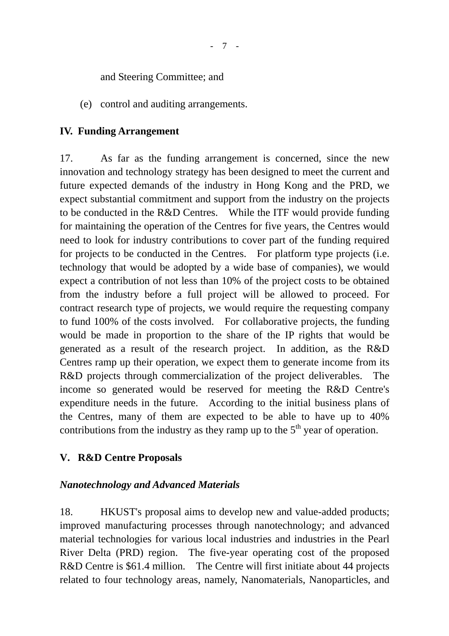and Steering Committee; and

(e) control and auditing arrangements.

### **IV. Funding Arrangement**

17. As far as the funding arrangement is concerned, since the new innovation and technology strategy has been designed to meet the current and future expected demands of the industry in Hong Kong and the PRD, we expect substantial commitment and support from the industry on the projects to be conducted in the R&D Centres. While the ITF would provide funding for maintaining the operation of the Centres for five years, the Centres would need to look for industry contributions to cover part of the funding required for projects to be conducted in the Centres. For platform type projects (i.e. technology that would be adopted by a wide base of companies), we would expect a contribution of not less than 10% of the project costs to be obtained from the industry before a full project will be allowed to proceed. For contract research type of projects, we would require the requesting company to fund 100% of the costs involved. For collaborative projects, the funding would be made in proportion to the share of the IP rights that would be generated as a result of the research project. In addition, as the R&D Centres ramp up their operation, we expect them to generate income from its R&D projects through commercialization of the project deliverables. The income so generated would be reserved for meeting the R&D Centre's expenditure needs in the future. According to the initial business plans of the Centres, many of them are expected to be able to have up to 40% contributions from the industry as they ramp up to the  $5<sup>th</sup>$  year of operation.

### **V. R&D Centre Proposals**

### *Nanotechnology and Advanced Materials*

18. HKUST's proposal aims to develop new and value-added products; improved manufacturing processes through nanotechnology; and advanced material technologies for various local industries and industries in the Pearl River Delta (PRD) region. The five-year operating cost of the proposed R&D Centre is \$61.4 million. The Centre will first initiate about 44 projects related to four technology areas, namely, Nanomaterials, Nanoparticles, and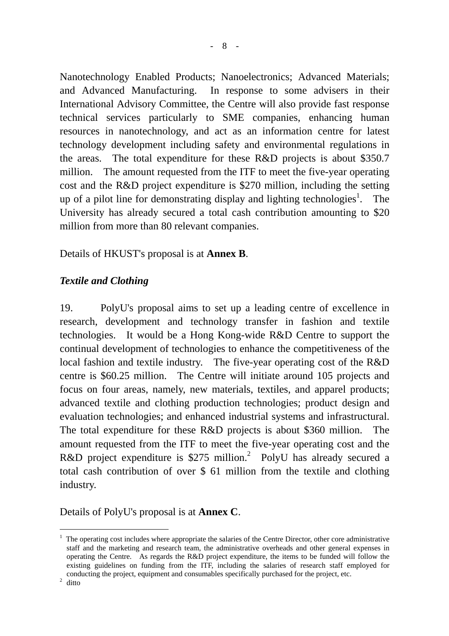Nanotechnology Enabled Products; Nanoelectronics; Advanced Materials; and Advanced Manufacturing. In response to some advisers in their International Advisory Committee, the Centre will also provide fast response technical services particularly to SME companies, enhancing human resources in nanotechnology, and act as an information centre for latest technology development including safety and environmental regulations in the areas. The total expenditure for these R&D projects is about \$350.7 million. The amount requested from the ITF to meet the five-year operating cost and the R&D project expenditure is \$270 million, including the setting up of a pilot line for demonstrating display and lighting technologies<sup>1</sup>. The University has already secured a total cash contribution amounting to \$20 million from more than 80 relevant companies.

Details of HKUST's proposal is at **Annex B**.

### *Textile and Clothing*

19. PolyU's proposal aims to set up a leading centre of excellence in research, development and technology transfer in fashion and textile technologies. It would be a Hong Kong-wide R&D Centre to support the continual development of technologies to enhance the competitiveness of the local fashion and textile industry. The five-year operating cost of the R&D centre is \$60.25 million. The Centre will initiate around 105 projects and focus on four areas, namely, new materials, textiles, and apparel products; advanced textile and clothing production technologies; product design and evaluation technologies; and enhanced industrial systems and infrastructural. The total expenditure for these R&D projects is about \$360 million. The amount requested from the ITF to meet the five-year operating cost and the R&D project expenditure is \$[2](#page-7-1)75 million.<sup>2</sup> PolyU has already secured a total cash contribution of over \$ 61 million from the textile and clothing industry.

Details of PolyU's proposal is at **Annex C**.

<span id="page-7-1"></span> $2$  ditto

 $\overline{a}$ 

<span id="page-7-0"></span><sup>&</sup>lt;sup>1</sup> The operating cost includes where appropriate the salaries of the Centre Director, other core administrative staff and the marketing and research team, the administrative overheads and other general expenses in operating the Centre. As regards the R&D project expenditure, the items to be funded will follow the existing guidelines on funding from the ITF, including the salaries of research staff employed for conducting the project, equipment and consumables specifically purchased for the project, etc. 2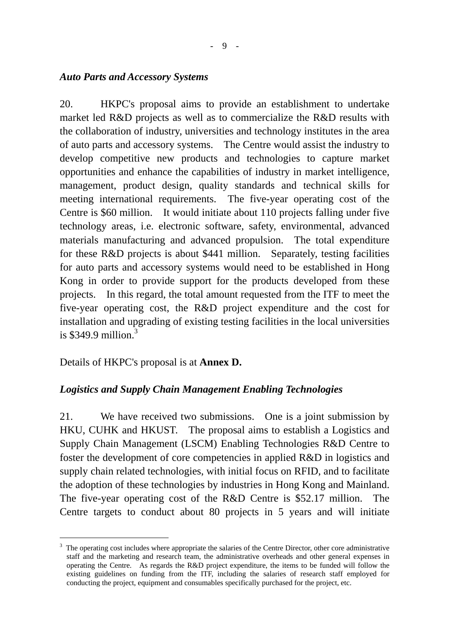#### *Auto Parts and Accessory Systems*

20. HKPC's proposal aims to provide an establishment to undertake market led R&D projects as well as to commercialize the R&D results with the collaboration of industry, universities and technology institutes in the area of auto parts and accessory systems. The Centre would assist the industry to develop competitive new products and technologies to capture market opportunities and enhance the capabilities of industry in market intelligence, management, product design, quality standards and technical skills for meeting international requirements. The five-year operating cost of the Centre is \$60 million. It would initiate about 110 projects falling under five technology areas, i.e. electronic software, safety, environmental, advanced materials manufacturing and advanced propulsion. The total expenditure for these R&D projects is about \$441 million. Separately, testing facilities for auto parts and accessory systems would need to be established in Hong Kong in order to provide support for the products developed from these projects. In this regard, the total amount requested from the ITF to meet the five-year operating cost, the R&D project expenditure and the cost for installation and upgrading of existing testing facilities in the local universities is  $$349.9$  $$349.9$  $$349.9$  million.<sup>3</sup>

Details of HKPC's proposal is at **Annex D.** 

 $\overline{a}$ 

### *Logistics and Supply Chain Management Enabling Technologies*

21. We have received two submissions. One is a joint submission by HKU, CUHK and HKUST. The proposal aims to establish a Logistics and Supply Chain Management (LSCM) Enabling Technologies R&D Centre to foster the development of core competencies in applied R&D in logistics and supply chain related technologies, with initial focus on RFID, and to facilitate the adoption of these technologies by industries in Hong Kong and Mainland. The five-year operating cost of the R&D Centre is \$52.17 million. The Centre targets to conduct about 80 projects in 5 years and will initiate

<span id="page-8-0"></span> $3$  The operating cost includes where appropriate the salaries of the Centre Director, other core administrative staff and the marketing and research team, the administrative overheads and other general expenses in operating the Centre. As regards the R&D project expenditure, the items to be funded will follow the existing guidelines on funding from the ITF, including the salaries of research staff employed for conducting the project, equipment and consumables specifically purchased for the project, etc.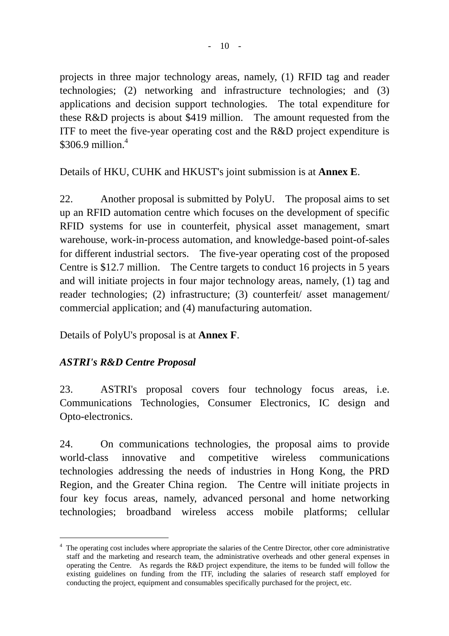projects in three major technology areas, namely, (1) RFID tag and reader technologies; (2) networking and infrastructure technologies; and (3) applications and decision support technologies. The total expenditure for these R&D projects is about \$419 million. The amount requested from the ITF to meet the five-year operating cost and the R&D project expenditure is  $$306.9$  million.<sup>4</sup>

Details of HKU, CUHK and HKUST's joint submission is at **Annex E**.

22. Another proposal is submitted by PolyU. The proposal aims to set up an RFID automation centre which focuses on the development of specific RFID systems for use in counterfeit, physical asset management, smart warehouse, work-in-process automation, and knowledge-based point-of-sales for different industrial sectors. The five-year operating cost of the proposed Centre is \$12.7 million. The Centre targets to conduct 16 projects in 5 years and will initiate projects in four major technology areas, namely, (1) tag and reader technologies; (2) infrastructure; (3) counterfeit/ asset management/ commercial application; and (4) manufacturing automation.

Details of PolyU's proposal is at **Annex F**.

### *ASTRI's R&D Centre Proposal*

 $\overline{a}$ 

23. ASTRI's proposal covers four technology focus areas, i.e. Communications Technologies, Consumer Electronics, IC design and Opto-electronics.

24. On communications technologies, the proposal aims to provide world-class innovative and competitive wireless communications technologies addressing the needs of industries in Hong Kong, the PRD Region, and the Greater China region. The Centre will initiate projects in four key focus areas, namely, advanced personal and home networking technologies; broadband wireless access mobile platforms; cellular

<span id="page-9-0"></span><sup>&</sup>lt;sup>4</sup> The operating cost includes where appropriate the salaries of the Centre Director, other core administrative staff and the marketing and research team, the administrative overheads and other general expenses in operating the Centre. As regards the R&D project expenditure, the items to be funded will follow the existing guidelines on funding from the ITF, including the salaries of research staff employed for conducting the project, equipment and consumables specifically purchased for the project, etc.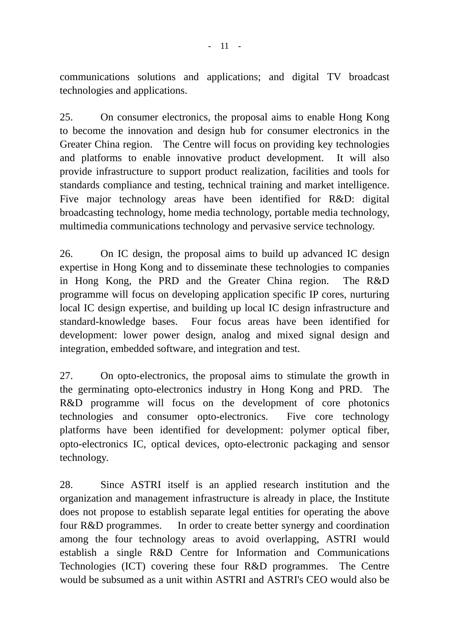communications solutions and applications; and digital TV broadcast technologies and applications.

25. On consumer electronics, the proposal aims to enable Hong Kong to become the innovation and design hub for consumer electronics in the Greater China region. The Centre will focus on providing key technologies and platforms to enable innovative product development. It will also provide infrastructure to support product realization, facilities and tools for standards compliance and testing, technical training and market intelligence. Five major technology areas have been identified for R&D: digital broadcasting technology, home media technology, portable media technology, multimedia communications technology and pervasive service technology.

26. On IC design, the proposal aims to build up advanced IC design expertise in Hong Kong and to disseminate these technologies to companies in Hong Kong, the PRD and the Greater China region. The R&D programme will focus on developing application specific IP cores, nurturing local IC design expertise, and building up local IC design infrastructure and standard-knowledge bases. Four focus areas have been identified for development: lower power design, analog and mixed signal design and integration, embedded software, and integration and test.

27. On opto-electronics, the proposal aims to stimulate the growth in the germinating opto-electronics industry in Hong Kong and PRD. The R&D programme will focus on the development of core photonics technologies and consumer opto-electronics. Five core technology platforms have been identified for development: polymer optical fiber, opto-electronics IC, optical devices, opto-electronic packaging and sensor technology.

28. Since ASTRI itself is an applied research institution and the organization and management infrastructure is already in place, the Institute does not propose to establish separate legal entities for operating the above four R&D programmes. In order to create better synergy and coordination among the four technology areas to avoid overlapping, ASTRI would establish a single R&D Centre for Information and Communications Technologies (ICT) covering these four R&D programmes. The Centre would be subsumed as a unit within ASTRI and ASTRI's CEO would also be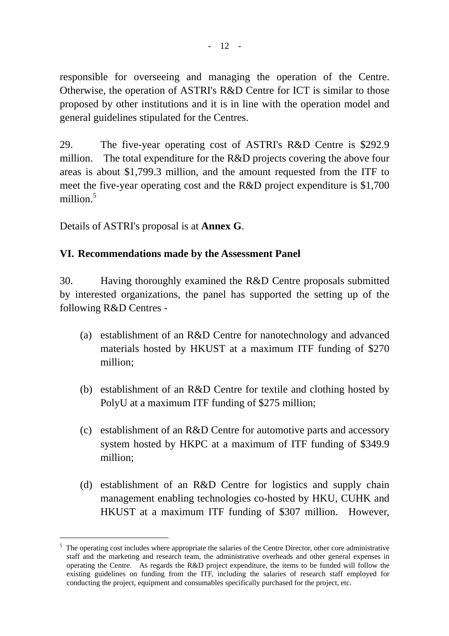responsible for overseeing and managing the operation of the Centre. Otherwise, the operation of ASTRI's R&D Centre for ICT is similar to those proposed by other institutions and it is in line with the operation model and general guidelines stipulated for the Centres.

29. The five-year operating cost of ASTRI's R&D Centre is \$292.9 million. The total expenditure for the R&D projects covering the above four areas is about \$1,799.3 million, and the amount requested from the ITF to meet the five-year operating cost and the R&D project expenditure is \$1,700 million.<sup>5</sup>

Details of ASTRI's proposal is at **Annex G**.

 $\overline{a}$ 

### **VI. Recommendations made by the Assessment Panel**

30. Having thoroughly examined the R&D Centre proposals submitted by interested organizations, the panel has supported the setting up of the following R&D Centres -

- (a) establishment of an R&D Centre for nanotechnology and advanced materials hosted by HKUST at a maximum ITF funding of \$270 million;
- (b) establishment of an R&D Centre for textile and clothing hosted by PolyU at a maximum ITF funding of \$275 million;
- (c) establishment of an R&D Centre for automotive parts and accessory system hosted by HKPC at a maximum of ITF funding of \$349.9 million;
- (d) establishment of an R&D Centre for logistics and supply chain management enabling technologies co-hosted by HKU, CUHK and HKUST at a maximum ITF funding of \$307 million. However,

<span id="page-11-0"></span><sup>&</sup>lt;sup>5</sup> The operating cost includes where appropriate the salaries of the Centre Director, other core administrative staff and the marketing and research team, the administrative overheads and other general expenses in operating the Centre. As regards the R&D project expenditure, the items to be funded will follow the existing guidelines on funding from the ITF, including the salaries of research staff employed for conducting the project, equipment and consumables specifically purchased for the project, etc.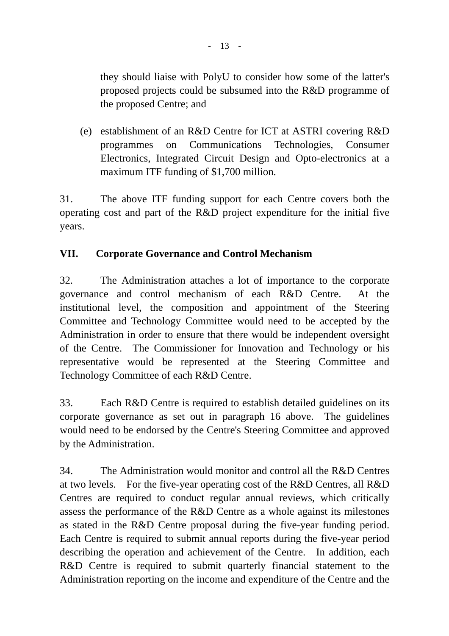they should liaise with PolyU to consider how some of the latter's proposed projects could be subsumed into the R&D programme of the proposed Centre; and

 (e) establishment of an R&D Centre for ICT at ASTRI covering R&D programmes on Communications Technologies, Consumer Electronics, Integrated Circuit Design and Opto-electronics at a maximum ITF funding of \$1,700 million.

31. The above ITF funding support for each Centre covers both the operating cost and part of the R&D project expenditure for the initial five years.

## **VII. Corporate Governance and Control Mechanism**

32. The Administration attaches a lot of importance to the corporate governance and control mechanism of each R&D Centre. At the institutional level, the composition and appointment of the Steering Committee and Technology Committee would need to be accepted by the Administration in order to ensure that there would be independent oversight of the Centre. The Commissioner for Innovation and Technology or his representative would be represented at the Steering Committee and Technology Committee of each R&D Centre.

33. Each R&D Centre is required to establish detailed guidelines on its corporate governance as set out in paragraph 16 above. The guidelines would need to be endorsed by the Centre's Steering Committee and approved by the Administration.

34. The Administration would monitor and control all the R&D Centres at two levels. For the five-year operating cost of the R&D Centres, all R&D Centres are required to conduct regular annual reviews, which critically assess the performance of the R&D Centre as a whole against its milestones as stated in the R&D Centre proposal during the five-year funding period. Each Centre is required to submit annual reports during the five-year period describing the operation and achievement of the Centre. In addition, each R&D Centre is required to submit quarterly financial statement to the Administration reporting on the income and expenditure of the Centre and the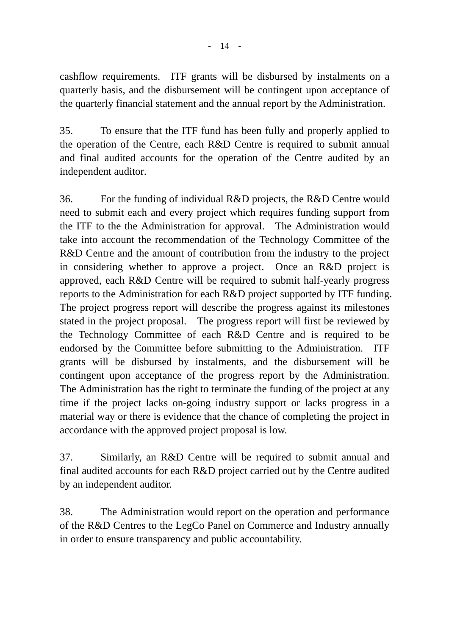cashflow requirements. ITF grants will be disbursed by instalments on a quarterly basis, and the disbursement will be contingent upon acceptance of the quarterly financial statement and the annual report by the Administration.

35. To ensure that the ITF fund has been fully and properly applied to the operation of the Centre, each R&D Centre is required to submit annual and final audited accounts for the operation of the Centre audited by an independent auditor.

36. For the funding of individual R&D projects, the R&D Centre would need to submit each and every project which requires funding support from the ITF to the the Administration for approval. The Administration would take into account the recommendation of the Technology Committee of the R&D Centre and the amount of contribution from the industry to the project in considering whether to approve a project. Once an R&D project is approved, each R&D Centre will be required to submit half-yearly progress reports to the Administration for each R&D project supported by ITF funding. The project progress report will describe the progress against its milestones stated in the project proposal. The progress report will first be reviewed by the Technology Committee of each R&D Centre and is required to be endorsed by the Committee before submitting to the Administration. ITF grants will be disbursed by instalments, and the disbursement will be contingent upon acceptance of the progress report by the Administration. The Administration has the right to terminate the funding of the project at any time if the project lacks on-going industry support or lacks progress in a material way or there is evidence that the chance of completing the project in accordance with the approved project proposal is low.

37. Similarly, an R&D Centre will be required to submit annual and final audited accounts for each R&D project carried out by the Centre audited by an independent auditor.

38. The Administration would report on the operation and performance of the R&D Centres to the LegCo Panel on Commerce and Industry annually in order to ensure transparency and public accountability.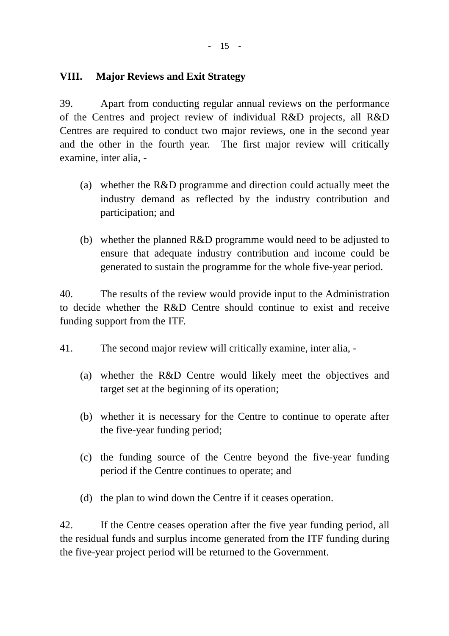### **VIII. Major Reviews and Exit Strategy**

39. Apart from conducting regular annual reviews on the performance of the Centres and project review of individual R&D projects, all R&D Centres are required to conduct two major reviews, one in the second year and the other in the fourth year. The first major review will critically examine, inter alia, -

- (a) whether the R&D programme and direction could actually meet the industry demand as reflected by the industry contribution and participation; and
- (b) whether the planned R&D programme would need to be adjusted to ensure that adequate industry contribution and income could be generated to sustain the programme for the whole five-year period.

40. The results of the review would provide input to the Administration to decide whether the R&D Centre should continue to exist and receive funding support from the ITF.

- 41. The second major review will critically examine, inter alia,
	- (a) whether the R&D Centre would likely meet the objectives and target set at the beginning of its operation;
	- (b) whether it is necessary for the Centre to continue to operate after the five-year funding period;
	- (c) the funding source of the Centre beyond the five-year funding period if the Centre continues to operate; and
	- (d) the plan to wind down the Centre if it ceases operation.

42. If the Centre ceases operation after the five year funding period, all the residual funds and surplus income generated from the ITF funding during the five-year project period will be returned to the Government.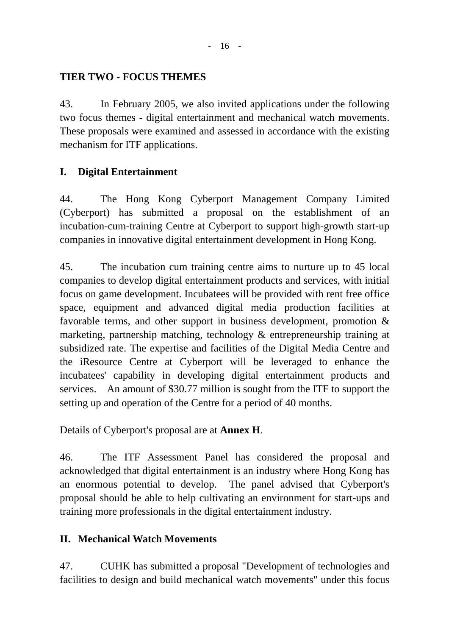### **TIER TWO - FOCUS THEMES**

43. In February 2005, we also invited applications under the following two focus themes - digital entertainment and mechanical watch movements. These proposals were examined and assessed in accordance with the existing mechanism for ITF applications.

### **I. Digital Entertainment**

44. The Hong Kong Cyberport Management Company Limited (Cyberport) has submitted a proposal on the establishment of an incubation-cum-training Centre at Cyberport to support high-growth start-up companies in innovative digital entertainment development in Hong Kong.

45. The incubation cum training centre aims to nurture up to 45 local companies to develop digital entertainment products and services, with initial focus on game development. Incubatees will be provided with rent free office space, equipment and advanced digital media production facilities at favorable terms, and other support in business development, promotion & marketing, partnership matching, technology & entrepreneurship training at subsidized rate. The expertise and facilities of the Digital Media Centre and the iResource Centre at Cyberport will be leveraged to enhance the incubatees' capability in developing digital entertainment products and services. An amount of \$30.77 million is sought from the ITF to support the setting up and operation of the Centre for a period of 40 months.

Details of Cyberport's proposal are at **Annex H**.

46. The ITF Assessment Panel has considered the proposal and acknowledged that digital entertainment is an industry where Hong Kong has an enormous potential to develop. The panel advised that Cyberport's proposal should be able to help cultivating an environment for start-ups and training more professionals in the digital entertainment industry.

### **II. Mechanical Watch Movements**

47. CUHK has submitted a proposal "Development of technologies and facilities to design and build mechanical watch movements" under this focus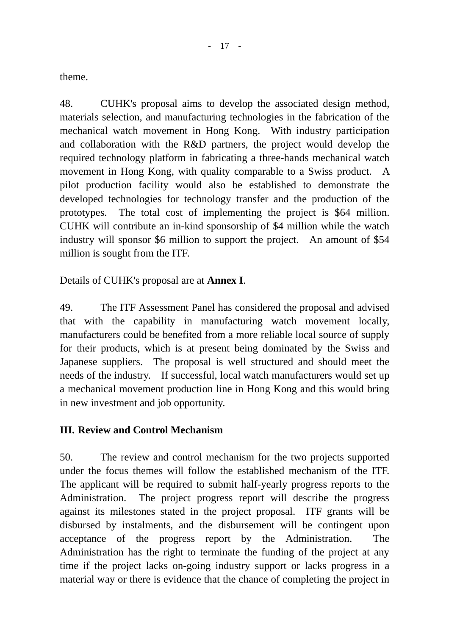theme.

48. CUHK's proposal aims to develop the associated design method, materials selection, and manufacturing technologies in the fabrication of the mechanical watch movement in Hong Kong. With industry participation and collaboration with the R&D partners, the project would develop the required technology platform in fabricating a three-hands mechanical watch movement in Hong Kong, with quality comparable to a Swiss product. A pilot production facility would also be established to demonstrate the developed technologies for technology transfer and the production of the prototypes. The total cost of implementing the project is \$64 million. CUHK will contribute an in-kind sponsorship of \$4 million while the watch industry will sponsor \$6 million to support the project. An amount of \$54 million is sought from the ITF.

Details of CUHK's proposal are at **Annex I**.

49. The ITF Assessment Panel has considered the proposal and advised that with the capability in manufacturing watch movement locally, manufacturers could be benefited from a more reliable local source of supply for their products, which is at present being dominated by the Swiss and Japanese suppliers. The proposal is well structured and should meet the needs of the industry. If successful, local watch manufacturers would set up a mechanical movement production line in Hong Kong and this would bring in new investment and job opportunity.

### **III. Review and Control Mechanism**

50. The review and control mechanism for the two projects supported under the focus themes will follow the established mechanism of the ITF. The applicant will be required to submit half-yearly progress reports to the Administration. The project progress report will describe the progress against its milestones stated in the project proposal. ITF grants will be disbursed by instalments, and the disbursement will be contingent upon acceptance of the progress report by the Administration. The Administration has the right to terminate the funding of the project at any time if the project lacks on-going industry support or lacks progress in a material way or there is evidence that the chance of completing the project in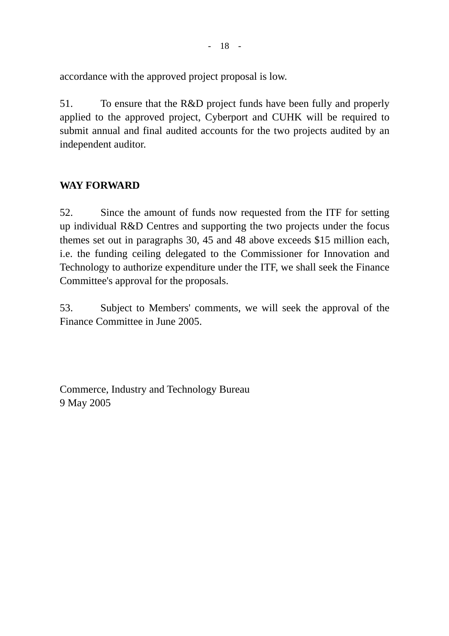accordance with the approved project proposal is low.

51. To ensure that the R&D project funds have been fully and properly applied to the approved project, Cyberport and CUHK will be required to submit annual and final audited accounts for the two projects audited by an independent auditor.

## **WAY FORWARD**

52. Since the amount of funds now requested from the ITF for setting up individual R&D Centres and supporting the two projects under the focus themes set out in paragraphs 30, 45 and 48 above exceeds \$15 million each, i.e. the funding ceiling delegated to the Commissioner for Innovation and Technology to authorize expenditure under the ITF, we shall seek the Finance Committee's approval for the proposals.

53. Subject to Members' comments, we will seek the approval of the Finance Committee in June 2005.

Commerce, Industry and Technology Bureau 9 May 2005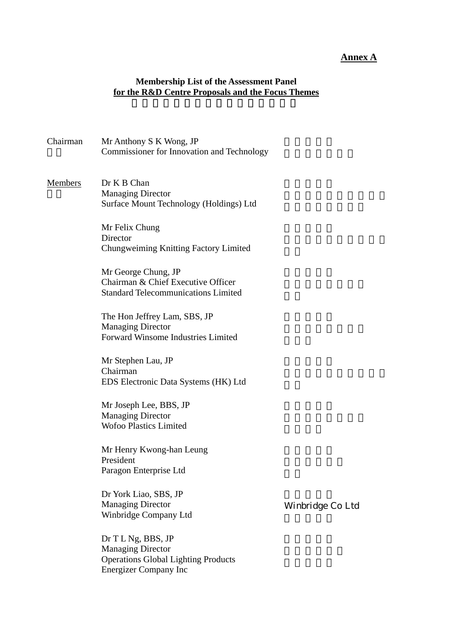#### **Annex A**

#### **Membership List of the Assessment Panel for the R&D Centre Proposals and the Focus Themes**

#### Chairman Mr Anthony S K Wong, JP Commissioner for Innovation and Technology

#### Members Dr K B Chan Managing Director Surface Mount Technology (Holdings) Ltd

Mr Felix Chung **Director** Chungweiming Knitting Factory Limited

Mr George Chung, JP Chairman & Chief Executive Officer Standard Telecommunications Limited

The Hon Jeffrey Lam, SBS, JP Managing Director Forward Winsome Industries Limited

Mr Stephen Lau, JP Chairman EDS Electronic Data Systems (HK) Ltd

Mr Joseph Lee, BBS, JP Managing Director Wofoo Plastics Limited

Mr Henry Kwong-han Leung President Paragon Enterprise Ltd

Dr York Liao, SBS, JP Managing Director Winbridge Company Ltd

Dr T L Ng, BBS, JP Managing Director Operations Global Lighting Products Energizer Company Inc

Winbridge Co Ltd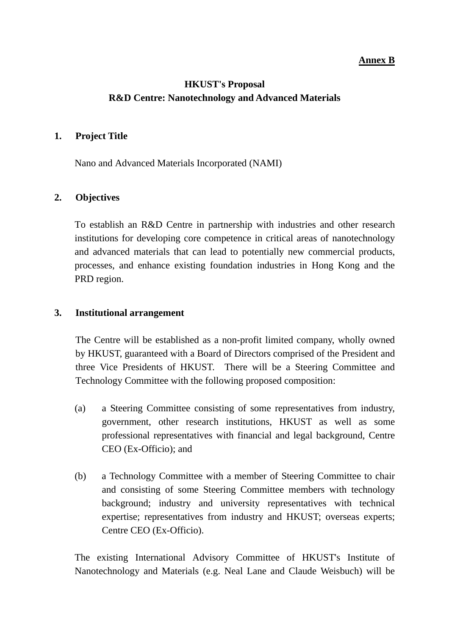#### **Annex B**

### **HKUST's Proposal R&D Centre: Nanotechnology and Advanced Materials**

#### **1. Project Title**

Nano and Advanced Materials Incorporated (NAMI)

#### **2. Objectives**

To establish an R&D Centre in partnership with industries and other research institutions for developing core competence in critical areas of nanotechnology and advanced materials that can lead to potentially new commercial products, processes, and enhance existing foundation industries in Hong Kong and the PRD region.

#### **3. Institutional arrangement**

The Centre will be established as a non-profit limited company, wholly owned by HKUST, guaranteed with a Board of Directors comprised of the President and three Vice Presidents of HKUST. There will be a Steering Committee and Technology Committee with the following proposed composition:

- (a) a Steering Committee consisting of some representatives from industry, government, other research institutions, HKUST as well as some professional representatives with financial and legal background, Centre CEO (Ex-Officio); and
- (b) a Technology Committee with a member of Steering Committee to chair and consisting of some Steering Committee members with technology background; industry and university representatives with technical expertise; representatives from industry and HKUST; overseas experts; Centre CEO (Ex-Officio).

The existing International Advisory Committee of HKUST's Institute of Nanotechnology and Materials (e.g. Neal Lane and Claude Weisbuch) will be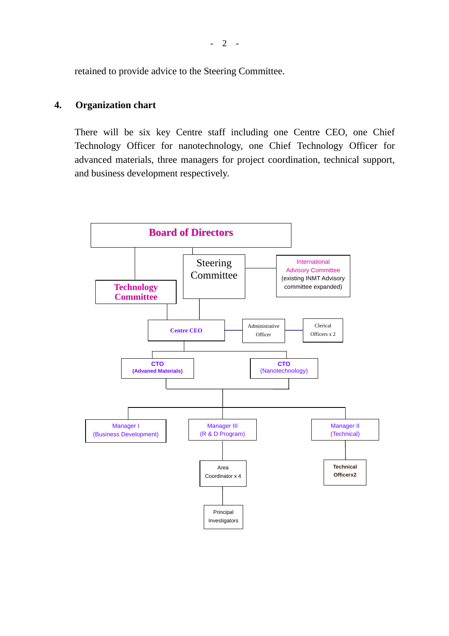retained to provide advice to the Steering Committee.

#### **4. Organization chart**

There will be six key Centre staff including one Centre CEO, one Chief Technology Officer for nanotechnology, one Chief Technology Officer for advanced materials, three managers for project coordination, technical support, and business development respectively.

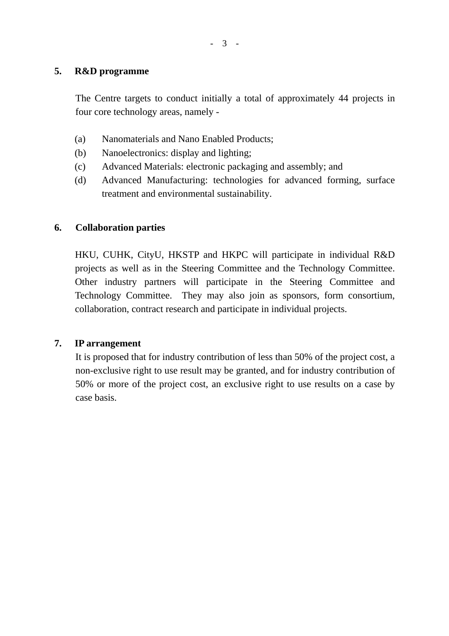#### **5. R&D programme**

The Centre targets to conduct initially a total of approximately 44 projects in four core technology areas, namely -

- (a) Nanomaterials and Nano Enabled Products;
- (b) Nanoelectronics: display and lighting;
- (c) Advanced Materials: electronic packaging and assembly; and
- (d) Advanced Manufacturing: technologies for advanced forming, surface treatment and environmental sustainability.

#### **6. Collaboration parties**

HKU, CUHK, CityU, HKSTP and HKPC will participate in individual R&D projects as well as in the Steering Committee and the Technology Committee. Other industry partners will participate in the Steering Committee and Technology Committee. They may also join as sponsors, form consortium, collaboration, contract research and participate in individual projects.

#### **7. IP arrangement**

It is proposed that for industry contribution of less than 50% of the project cost, a non-exclusive right to use result may be granted, and for industry contribution of 50% or more of the project cost, an exclusive right to use results on a case by case basis.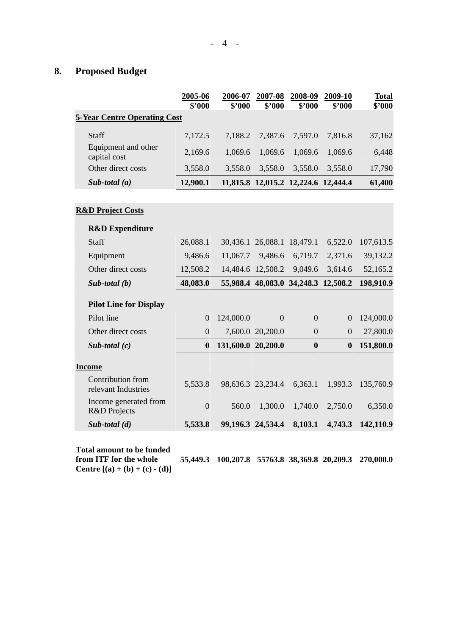### **8. Proposed Budget**

|                                          | 2005-06<br>\$2000 | 2006-07<br>\$2000  | 2007-08<br>\$3000                   | 2008-09<br>\$'000 | 2009-10<br>\$3000 | <b>Total</b><br>\$2000 |
|------------------------------------------|-------------------|--------------------|-------------------------------------|-------------------|-------------------|------------------------|
| <b>5-Year Centre Operating Cost</b>      |                   |                    |                                     |                   |                   |                        |
| Staff                                    | 7,172.5           | 7,188.2            | 7,387.6                             | 7,597.0           | 7,816.8           | 37,162                 |
| Equipment and other<br>capital cost      | 2,169.6           | 1,069.6            | 1,069.6                             | 1,069.6           | 1,069.6           | 6,448                  |
| Other direct costs                       | 3,558.0           | 3,558.0            | 3,558.0                             | 3,558.0           | 3,558.0           | 17,790                 |
| Sub-total $(a)$                          | 12,900.1          |                    | 11,815.8 12,015.2 12,224.6 12,444.4 |                   |                   | 61,400                 |
|                                          |                   |                    |                                     |                   |                   |                        |
| <b>R&amp;D Project Costs</b>             |                   |                    |                                     |                   |                   |                        |
| <b>R&amp;D</b> Expenditure               |                   |                    |                                     |                   |                   |                        |
| Staff                                    | 26,088.1          |                    | 30,436.1 26,088.1                   | 18,479.1          | 6,522.0           | 107,613.5              |
| Equipment                                | 9,486.6           | 11,067.7           | 9,486.6                             | 6,719.7           | 2,371.6           | 39,132.2               |
| Other direct costs                       | 12,508.2          |                    | 14,484.6 12,508.2                   | 9,049.6           | 3,614.6           | 52,165.2               |
| $Sub$ -total $(b)$                       | 48,083.0          |                    | 55,988.4 48,083.0 34,248.3 12,508.2 |                   |                   | 198,910.9              |
| <b>Pilot Line for Display</b>            |                   |                    |                                     |                   |                   |                        |
| Pilot line                               | $\Omega$          | 124,000.0          | $\overline{0}$                      | $\overline{0}$    | $\overline{0}$    | 124,000.0              |
| Other direct costs                       | $\overline{0}$    |                    | 7,600.0 20,200.0                    | $\overline{0}$    | $\overline{0}$    | 27,800.0               |
| Sub-total $(c)$                          | $\boldsymbol{0}$  | 131,600.0 20,200.0 |                                     | $\bf{0}$          | $\bf{0}$          | 151,800.0              |
| <b>Income</b>                            |                   |                    |                                     |                   |                   |                        |
| Contribution from<br>relevant Industries | 5,533.8           |                    | 98,636.3 23,234.4                   | 6,363.1           | 1,993.3           | 135,760.9              |
| Income generated from<br>R&D Projects    | $\overline{0}$    | 560.0              | 1,300.0                             | 1,740.0           | 2,750.0           | 6,350.0                |
| $Sub$ -total $(d)$                       | 5,533.8           |                    | 99,196.3 24,534.4                   | 8,103.1           | 4,743.3           | 142,110.9              |

**Total amount to be funded from ITF for the whole** 

**55,449.3 100,207.8 55763.8 38,369.8 20,209.3 270,000.0**

**Centre**  $[(a) + (b) + (c) - (d)]$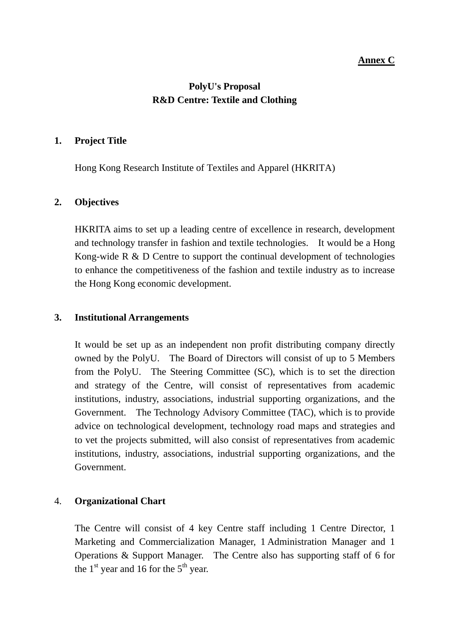#### **Annex C**

### **PolyU's Proposal R&D Centre: Textile and Clothing**

#### **1. Project Title**

Hong Kong Research Institute of Textiles and Apparel (HKRITA)

#### **2. Objectives**

HKRITA aims to set up a leading centre of excellence in research, development and technology transfer in fashion and textile technologies. It would be a Hong Kong-wide R & D Centre to support the continual development of technologies to enhance the competitiveness of the fashion and textile industry as to increase the Hong Kong economic development.

#### **3. Institutional Arrangements**

It would be set up as an independent non profit distributing company directly owned by the PolyU. The Board of Directors will consist of up to 5 Members from the PolyU. The Steering Committee (SC), which is to set the direction and strategy of the Centre, will consist of representatives from academic institutions, industry, associations, industrial supporting organizations, and the Government. The Technology Advisory Committee (TAC), which is to provide advice on technological development, technology road maps and strategies and to vet the projects submitted, will also consist of representatives from academic institutions, industry, associations, industrial supporting organizations, and the Government.

#### 4. **Organizational Chart**

The Centre will consist of 4 key Centre staff including 1 Centre Director, 1 Marketing and Commercialization Manager, 1 Administration Manager and 1 Operations & Support Manager. The Centre also has supporting staff of 6 for the  $1<sup>st</sup>$  year and 16 for the  $5<sup>th</sup>$  year.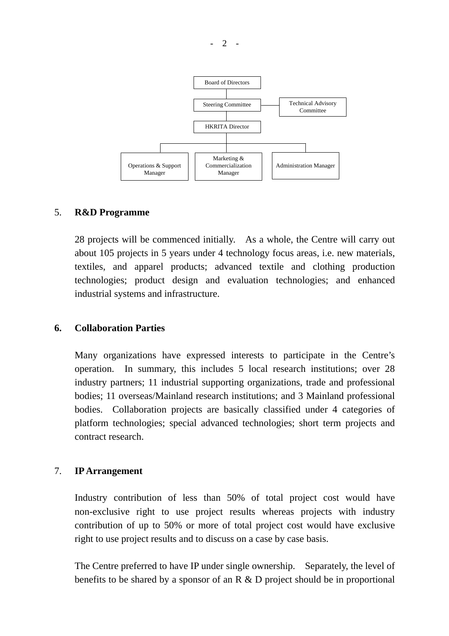

#### 5. **R&D Programme**

28 projects will be commenced initially. As a whole, the Centre will carry out about 105 projects in 5 years under 4 technology focus areas, i.e. new materials, textiles, and apparel products; advanced textile and clothing production technologies; product design and evaluation technologies; and enhanced industrial systems and infrastructure.

#### **6. Collaboration Parties**

Many organizations have expressed interests to participate in the Centre's operation. In summary, this includes 5 local research institutions; over 28 industry partners; 11 industrial supporting organizations, trade and professional bodies; 11 overseas/Mainland research institutions; and 3 Mainland professional bodies. Collaboration projects are basically classified under 4 categories of platform technologies; special advanced technologies; short term projects and contract research.

#### 7. **IP Arrangement**

Industry contribution of less than 50% of total project cost would have non-exclusive right to use project results whereas projects with industry contribution of up to 50% or more of total project cost would have exclusive right to use project results and to discuss on a case by case basis.

The Centre preferred to have IP under single ownership. Separately, the level of benefits to be shared by a sponsor of an R & D project should be in proportional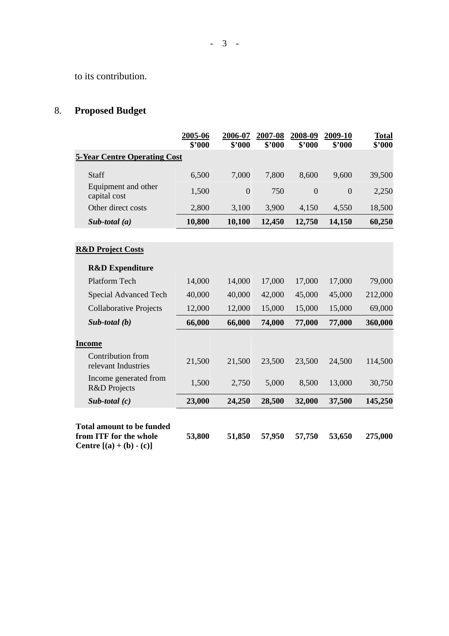to its contribution.

# 8. **Proposed Budget**

|                                                                                                 | 2005-06<br>\$'000 | 2006-07<br>\$2000 | 2007-08<br>\$'000 | 2008-09<br>\$'000 | 2009-10<br>\$'000 | <b>Total</b><br>\$'000 |
|-------------------------------------------------------------------------------------------------|-------------------|-------------------|-------------------|-------------------|-------------------|------------------------|
| <b>5-Year Centre Operating Cost</b>                                                             |                   |                   |                   |                   |                   |                        |
| Staff                                                                                           | 6,500             | 7,000             | 7,800             | 8,600             | 9,600             | 39,500                 |
| Equipment and other<br>capital cost                                                             | 1,500             | $\overline{0}$    | 750               | $\overline{0}$    | $\overline{0}$    | 2,250                  |
| Other direct costs                                                                              | 2,800             | 3,100             | 3,900             | 4,150             | 4,550             | 18,500                 |
| Sub-total $(a)$                                                                                 | 10,800            | 10,100            | 12,450            | 12,750            | 14,150            | 60,250                 |
|                                                                                                 |                   |                   |                   |                   |                   |                        |
| <b>R&amp;D Project Costs</b>                                                                    |                   |                   |                   |                   |                   |                        |
| <b>R&amp;D</b> Expenditure                                                                      |                   |                   |                   |                   |                   |                        |
| Platform Tech                                                                                   | 14,000            | 14,000            | 17,000            | 17,000            | 17,000            | 79,000                 |
| Special Advanced Tech                                                                           | 40,000            | 40,000            | 42,000            | 45,000            | 45,000            | 212,000                |
| <b>Collaborative Projects</b>                                                                   | 12,000            | 12,000            | 15,000            | 15,000            | 15,000            | 69,000                 |
| $Sub$ -total $(b)$                                                                              | 66,000            | 66,000            | 74,000            | 77,000            | 77,000            | 360,000                |
| <b>Income</b>                                                                                   |                   |                   |                   |                   |                   |                        |
| Contribution from<br>relevant Industries                                                        | 21,500            | 21,500            | 23,500            | 23,500            | 24,500            | 114,500                |
| Income generated from<br>R&D Projects                                                           | 1,500             | 2,750             | 5,000             | 8,500             | 13,000            | 30,750                 |
| Sub-total $(c)$                                                                                 | 23,000            | 24,250            | 28,500            | 32,000            | 37,500            | 145,250                |
| <b>Total amount to be funded</b><br>from ITF for the whole<br><b>Centre</b> $[(a) + (b) - (c)]$ | 53,800            | 51,850            | 57,950            | 57,750            | 53,650            | 275,000                |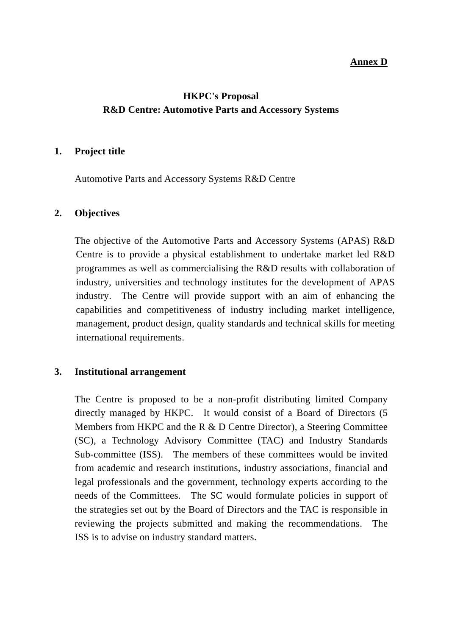#### **Annex D**

### **HKPC's Proposal R&D Centre: Automotive Parts and Accessory Systems**

#### **1. Project title**

Automotive Parts and Accessory Systems R&D Centre

#### **2. Objectives**

The objective of the Automotive Parts and Accessory Systems (APAS) R&D Centre is to provide a physical establishment to undertake market led R&D programmes as well as commercialising the R&D results with collaboration of industry, universities and technology institutes for the development of APAS industry. The Centre will provide support with an aim of enhancing the capabilities and competitiveness of industry including market intelligence, management, product design, quality standards and technical skills for meeting international requirements.

#### **3. Institutional arrangement**

The Centre is proposed to be a non-profit distributing limited Company directly managed by HKPC. It would consist of a Board of Directors (5 Members from HKPC and the R & D Centre Director), a Steering Committee (SC), a Technology Advisory Committee (TAC) and Industry Standards Sub-committee (ISS). The members of these committees would be invited from academic and research institutions, industry associations, financial and legal professionals and the government, technology experts according to the needs of the Committees. The SC would formulate policies in support of the strategies set out by the Board of Directors and the TAC is responsible in reviewing the projects submitted and making the recommendations. The ISS is to advise on industry standard matters.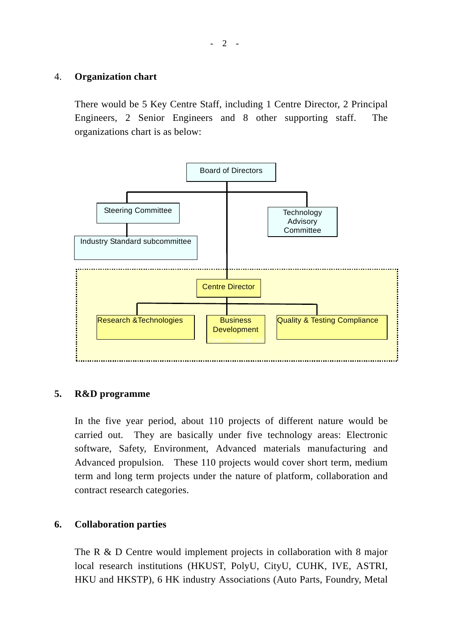#### 4. **Organization chart**

There would be 5 Key Centre Staff, including 1 Centre Director, 2 Principal Engineers, 2 Senior Engineers and 8 other supporting staff. The organizations chart is as below:



#### **5. R&D programme**

In the five year period, about 110 projects of different nature would be carried out. They are basically under five technology areas: Electronic software, Safety, Environment, Advanced materials manufacturing and Advanced propulsion. These 110 projects would cover short term, medium term and long term projects under the nature of platform, collaboration and contract research categories.

#### **6. Collaboration parties**

The R & D Centre would implement projects in collaboration with 8 major local research institutions (HKUST, PolyU, CityU, CUHK, IVE, ASTRI, HKU and HKSTP), 6 HK industry Associations (Auto Parts, Foundry, Metal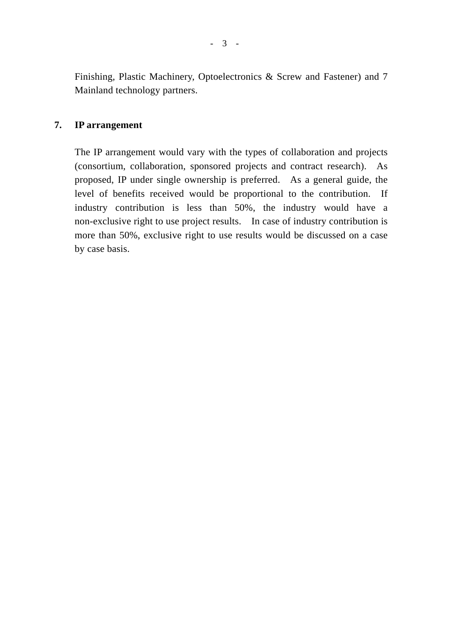Finishing, Plastic Machinery, Optoelectronics & Screw and Fastener) and 7 Mainland technology partners.

#### **7. IP arrangement**

The IP arrangement would vary with the types of collaboration and projects (consortium, collaboration, sponsored projects and contract research). As proposed, IP under single ownership is preferred. As a general guide, the level of benefits received would be proportional to the contribution. If industry contribution is less than 50%, the industry would have a non-exclusive right to use project results. In case of industry contribution is more than 50%, exclusive right to use results would be discussed on a case by case basis.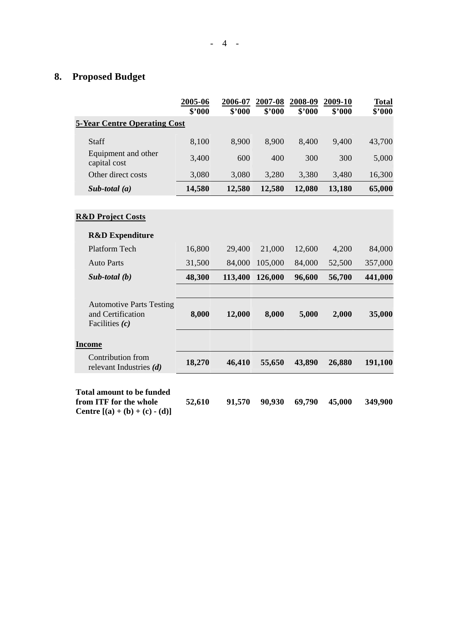# **8. Proposed Budget**

|                                                                                                       | 2005-06<br>\$'000 | 2006-07<br>\$'000 | 2007-08<br>\$'000 | 2008-09<br>\$'000 | 2009-10<br>\$'000 | <b>Total</b><br>\$'000 |
|-------------------------------------------------------------------------------------------------------|-------------------|-------------------|-------------------|-------------------|-------------------|------------------------|
| <b>5-Year Centre Operating Cost</b>                                                                   |                   |                   |                   |                   |                   |                        |
| Staff                                                                                                 | 8,100             | 8,900             | 8,900             | 8,400             | 9,400             | 43,700                 |
| Equipment and other<br>capital cost                                                                   | 3,400             | 600               | 400               | 300               | 300               | 5,000                  |
| Other direct costs                                                                                    | 3,080             | 3,080             | 3,280             | 3,380             | 3,480             | 16,300                 |
| Sub-total $(a)$                                                                                       | 14,580            | 12,580            | 12,580            | 12,080            | 13,180            | 65,000                 |
|                                                                                                       |                   |                   |                   |                   |                   |                        |
| <b>R&amp;D Project Costs</b>                                                                          |                   |                   |                   |                   |                   |                        |
| <b>R&amp;D</b> Expenditure                                                                            |                   |                   |                   |                   |                   |                        |
| <b>Platform Tech</b>                                                                                  | 16,800            | 29,400            | 21,000            | 12,600            | 4,200             | 84,000                 |
| <b>Auto Parts</b>                                                                                     | 31,500            | 84,000            | 105,000           | 84,000            | 52,500            | 357,000                |
| Sub-total $(b)$                                                                                       | 48,300            | 113,400           | 126,000           | 96,600            | 56,700            | 441,000                |
| <b>Automotive Parts Testing</b><br>and Certification<br>Facilities $(c)$                              | 8,000             | 12,000            | 8,000             | 5,000             | 2,000             | 35,000                 |
| <b>Income</b>                                                                                         |                   |                   |                   |                   |                   |                        |
| Contribution from<br>relevant Industries $(d)$                                                        | 18,270            | 46,410            | 55,650            | 43,890            | 26,880            | 191,100                |
| <b>Total amount to be funded</b><br>from ITF for the whole<br><b>Centre</b> $[(a) + (b) + (c) - (d)]$ | 52,610            | 91,570            | 90,930            | 69,790            | 45,000            | 349,900                |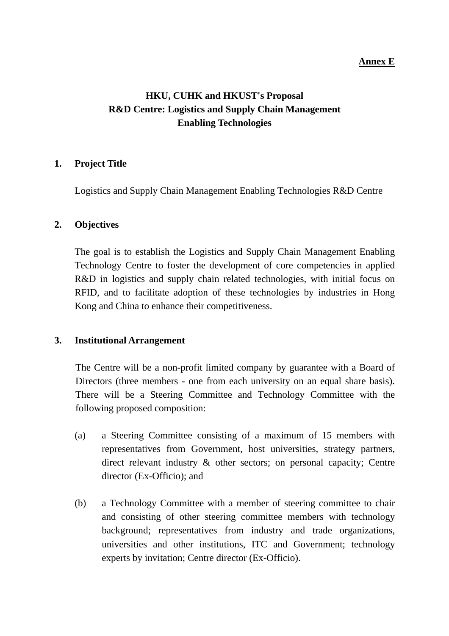#### **Annex E**

## **HKU, CUHK and HKUST's Proposal R&D Centre: Logistics and Supply Chain Management Enabling Technologies**

#### **1. Project Title**

Logistics and Supply Chain Management Enabling Technologies R&D Centre

#### **2. Objectives**

The goal is to establish the Logistics and Supply Chain Management Enabling Technology Centre to foster the development of core competencies in applied R&D in logistics and supply chain related technologies, with initial focus on RFID, and to facilitate adoption of these technologies by industries in Hong Kong and China to enhance their competitiveness.

#### **3. Institutional Arrangement**

The Centre will be a non-profit limited company by guarantee with a Board of Directors (three members - one from each university on an equal share basis). There will be a Steering Committee and Technology Committee with the following proposed composition:

- (a) a Steering Committee consisting of a maximum of 15 members with representatives from Government, host universities, strategy partners, direct relevant industry & other sectors; on personal capacity; Centre director (Ex-Officio); and
- (b) a Technology Committee with a member of steering committee to chair and consisting of other steering committee members with technology background; representatives from industry and trade organizations, universities and other institutions, ITC and Government; technology experts by invitation; Centre director (Ex-Officio).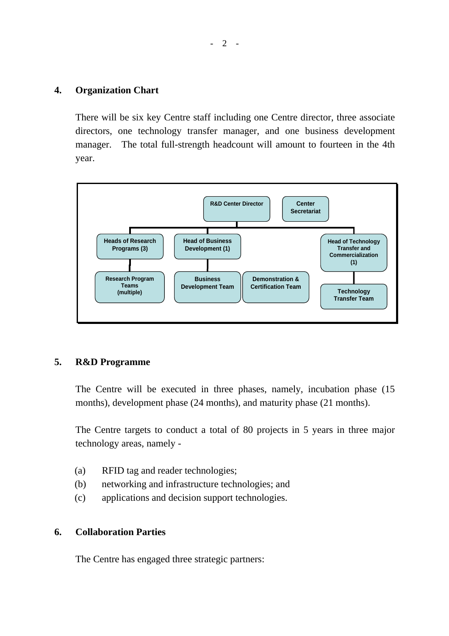#### **4. Organization Chart**

There will be six key Centre staff including one Centre director, three associate directors, one technology transfer manager, and one business development manager. The total full-strength headcount will amount to fourteen in the 4th year.



#### **5. R&D Programme**

The Centre will be executed in three phases, namely, incubation phase (15 months), development phase (24 months), and maturity phase (21 months).

The Centre targets to conduct a total of 80 projects in 5 years in three major technology areas, namely -

- (a) RFID tag and reader technologies;
- (b) networking and infrastructure technologies; and
- (c) applications and decision support technologies.

#### **6. Collaboration Parties**

The Centre has engaged three strategic partners: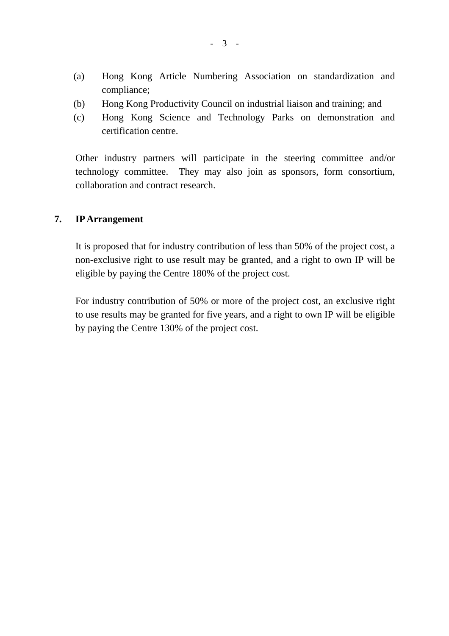- (a) Hong Kong Article Numbering Association on standardization and compliance;
- (b) Hong Kong Productivity Council on industrial liaison and training; and
- (c) Hong Kong Science and Technology Parks on demonstration and certification centre.

Other industry partners will participate in the steering committee and/or technology committee. They may also join as sponsors, form consortium, collaboration and contract research.

#### **7. IPArrangement**

It is proposed that for industry contribution of less than 50% of the project cost, a non-exclusive right to use result may be granted, and a right to own IP will be eligible by paying the Centre 180% of the project cost.

For industry contribution of 50% or more of the project cost, an exclusive right to use results may be granted for five years, and a right to own IP will be eligible by paying the Centre 130% of the project cost.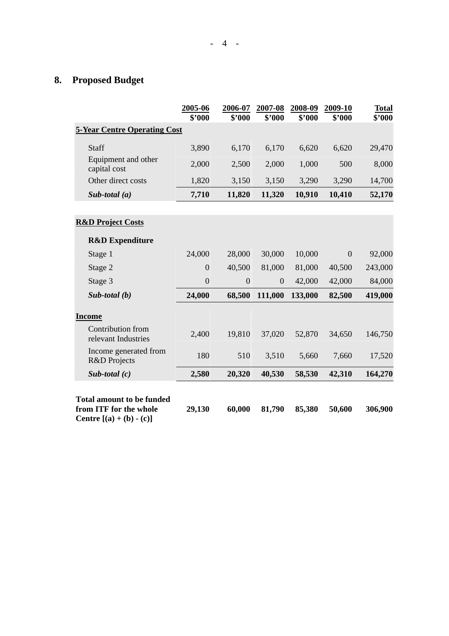# **8. Proposed Budget**

|                                                                                                 | 2005-06<br>\$'000 | 2006-07<br>\$'000 | 2007-08<br>\$'000 | 2008-09<br>\$'000 | 2009-10<br>\$'000 | <b>Total</b><br>\$'000 |
|-------------------------------------------------------------------------------------------------|-------------------|-------------------|-------------------|-------------------|-------------------|------------------------|
| <b>5-Year Centre Operating Cost</b>                                                             |                   |                   |                   |                   |                   |                        |
| Staff                                                                                           | 3,890             | 6,170             | 6,170             | 6,620             | 6,620             | 29,470                 |
| Equipment and other<br>capital cost                                                             | 2,000             | 2,500             | 2,000             | 1,000             | 500               | 8,000                  |
| Other direct costs                                                                              | 1,820             | 3,150             | 3,150             | 3,290             | 3,290             | 14,700                 |
| Sub-total $(a)$                                                                                 | 7,710             | 11,820            | 11,320            | 10,910            | 10,410            | 52,170                 |
|                                                                                                 |                   |                   |                   |                   |                   |                        |
| <b>R&amp;D Project Costs</b>                                                                    |                   |                   |                   |                   |                   |                        |
| <b>R&amp;D</b> Expenditure                                                                      |                   |                   |                   |                   |                   |                        |
| Stage 1                                                                                         | 24,000            | 28,000            | 30,000            | 10,000            | $\theta$          | 92,000                 |
| Stage 2                                                                                         | $\overline{0}$    | 40,500            | 81,000            | 81,000            | 40,500            | 243,000                |
| Stage 3                                                                                         | $\overline{0}$    | $\boldsymbol{0}$  | $\boldsymbol{0}$  | 42,000            | 42,000            | 84,000                 |
| Sub-total $(b)$                                                                                 | 24,000            | 68,500            | 111,000           | 133,000           | 82,500            | 419,000                |
| <b>Income</b>                                                                                   |                   |                   |                   |                   |                   |                        |
| Contribution from<br>relevant Industries                                                        | 2,400             | 19,810            | 37,020            | 52,870            | 34,650            | 146,750                |
| Income generated from<br>R&D Projects                                                           | 180               | 510               | 3,510             | 5,660             | 7,660             | 17,520                 |
| Sub-total $(c)$                                                                                 | 2,580             | 20,320            | 40,530            | 58,530            | 42,310            | 164,270                |
| <b>Total amount to be funded</b><br>from ITF for the whole<br><b>Centre</b> $[(a) + (b) - (c)]$ | 29,130            | 60,000            | 81,790            | 85,380            | 50,600            | 306,900                |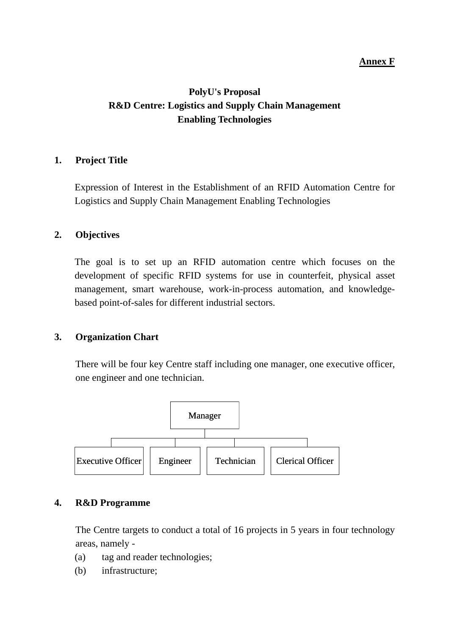#### **Annex F**

## **PolyU's Proposal R&D Centre: Logistics and Supply Chain Management Enabling Technologies**

#### **1. Project Title**

Expression of Interest in the Establishment of an RFID Automation Centre for Logistics and Supply Chain Management Enabling Technologies

#### **2. Objectives**

The goal is to set up an RFID automation centre which focuses on the development of specific RFID systems for use in counterfeit, physical asset management, smart warehouse, work-in-process automation, and knowledgebased point-of-sales for different industrial sectors.

#### **3. Organization Chart**

There will be four key Centre staff including one manager, one executive officer, one engineer and one technician.



#### **4. R&D Programme**

The Centre targets to conduct a total of 16 projects in 5 years in four technology areas, namely -

- (a) tag and reader technologies;
- (b) infrastructure;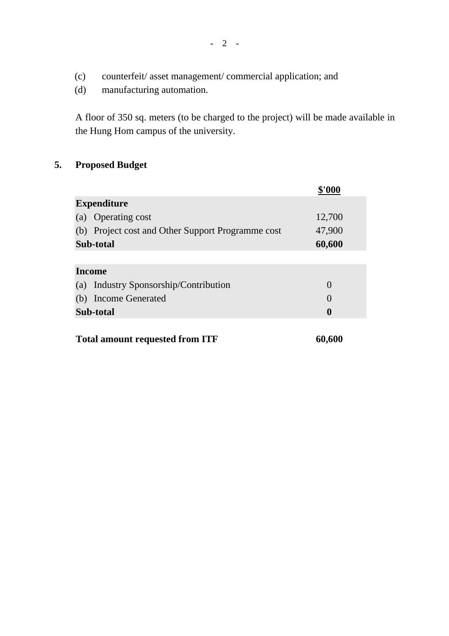- (c) counterfeit/ asset management/ commercial application; and
- (d) manufacturing automation.

A floor of 350 sq. meters (to be charged to the project) will be made available in the Hung Hom campus of the university.

### **5. Proposed Budget**

|                                                   | \$'AAA   |
|---------------------------------------------------|----------|
| <b>Expenditure</b>                                |          |
| <b>Operating cost</b><br>(a)                      | 12,700   |
| (b) Project cost and Other Support Programme cost | 47,900   |
| Sub-total                                         | 60,600   |
|                                                   |          |
| <b>Income</b>                                     |          |
| Industry Sponsorship/Contribution<br>(a)          | $\Omega$ |
| <b>Income Generated</b><br>(b)                    | $\left($ |
| Sub-total                                         | 0        |
|                                                   |          |

## Total amount requested from ITF 60,600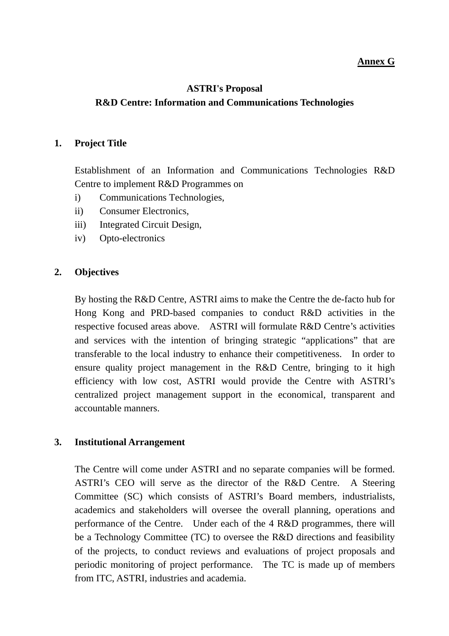#### **Annex G**

### **ASTRI's Proposal R&D Centre: Information and Communications Technologies**

#### **1. Project Title**

Establishment of an Information and Communications Technologies R&D Centre to implement R&D Programmes on

- i) Communications Technologies,
- ii) Consumer Electronics,
- iii) Integrated Circuit Design,
- iv) Opto-electronics

#### **2. Objectives**

By hosting the R&D Centre, ASTRI aims to make the Centre the de-facto hub for Hong Kong and PRD-based companies to conduct R&D activities in the respective focused areas above. ASTRI will formulate R&D Centre's activities and services with the intention of bringing strategic "applications" that are transferable to the local industry to enhance their competitiveness. In order to ensure quality project management in the R&D Centre, bringing to it high efficiency with low cost, ASTRI would provide the Centre with ASTRI's centralized project management support in the economical, transparent and accountable manners.

#### **3. Institutional Arrangement**

The Centre will come under ASTRI and no separate companies will be formed. ASTRI's CEO will serve as the director of the R&D Centre. A Steering Committee (SC) which consists of ASTRI's Board members, industrialists, academics and stakeholders will oversee the overall planning, operations and performance of the Centre. Under each of the 4 R&D programmes, there will be a Technology Committee (TC) to oversee the R&D directions and feasibility of the projects, to conduct reviews and evaluations of project proposals and periodic monitoring of project performance. The TC is made up of members from ITC, ASTRI, industries and academia.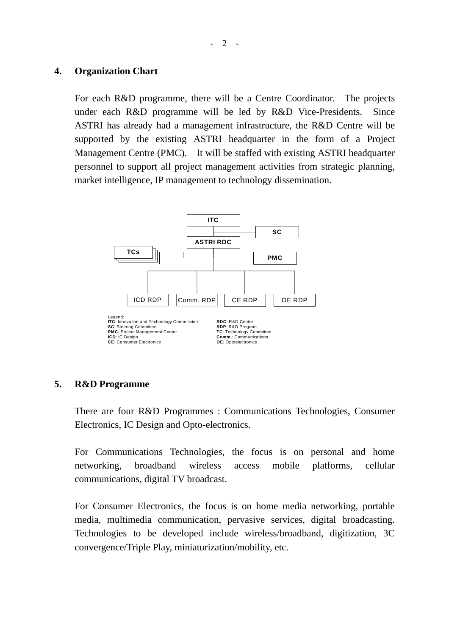#### **4. Organization Chart**

For each R&D programme, there will be a Centre Coordinator. The projects under each R&D programme will be led by R&D Vice-Presidents. Since ASTRI has already had a management infrastructure, the R&D Centre will be supported by the existing ASTRI headquarter in the form of a Project Management Centre (PMC). It will be staffed with existing ASTRI headquarter personnel to support all project management activities from strategic planning, market intelligence, IP management to technology dissemination.



#### **5. R&D Programme**

There are four R&D Programmes : Communications Technologies, Consumer Electronics, IC Design and Opto-electronics.

For Communications Technologies, the focus is on personal and home networking, broadband wireless access mobile platforms, cellular communications, digital TV broadcast.

For Consumer Electronics, the focus is on home media networking, portable media, multimedia communication, pervasive services, digital broadcasting. Technologies to be developed include wireless/broadband, digitization, 3C convergence/Triple Play, miniaturization/mobility, etc.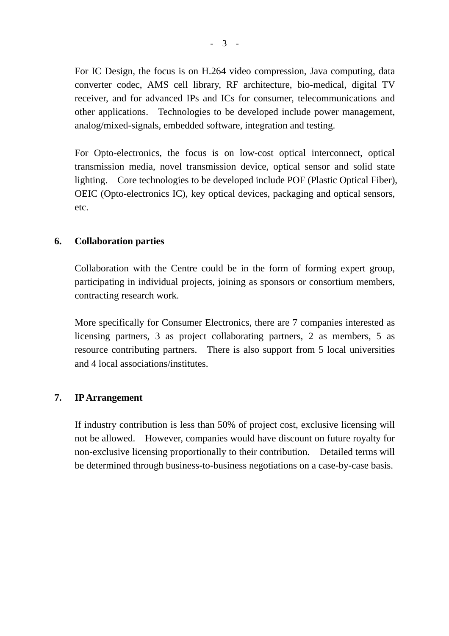For IC Design, the focus is on H.264 video compression, Java computing, data converter codec, AMS cell library, RF architecture, bio-medical, digital TV receiver, and for advanced IPs and ICs for consumer, telecommunications and other applications. Technologies to be developed include power management, analog/mixed-signals, embedded software, integration and testing.

For Opto-electronics, the focus is on low-cost optical interconnect, optical transmission media, novel transmission device, optical sensor and solid state lighting. Core technologies to be developed include POF (Plastic Optical Fiber), OEIC (Opto-electronics IC), key optical devices, packaging and optical sensors, etc.

### **6. Collaboration parties**

Collaboration with the Centre could be in the form of forming expert group, participating in individual projects, joining as sponsors or consortium members, contracting research work.

More specifically for Consumer Electronics, there are 7 companies interested as licensing partners, 3 as project collaborating partners, 2 as members, 5 as resource contributing partners. There is also support from 5 local universities and 4 local associations/institutes.

#### **7. IPArrangement**

If industry contribution is less than 50% of project cost, exclusive licensing will not be allowed. However, companies would have discount on future royalty for non-exclusive licensing proportionally to their contribution. Detailed terms will be determined through business-to-business negotiations on a case-by-case basis.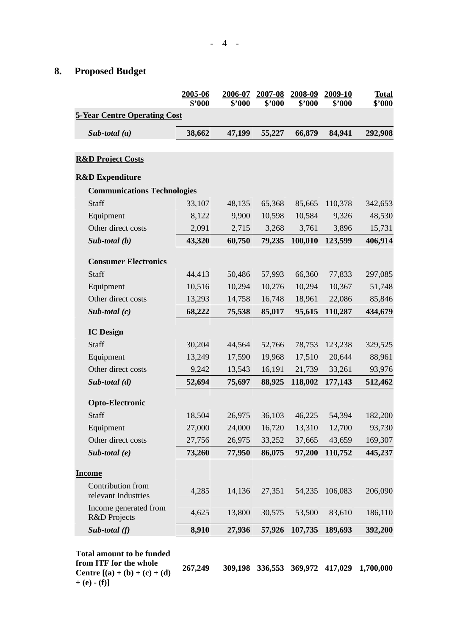### **8. Proposed Budget**

|                                          | 2005-06<br>\$'000 | 2006-07<br>\$'000 | 2007-08<br>\$'000 | 2008-09<br>\$'000 | 2009-10<br>\$'000 | <b>Total</b><br>\$'000 |
|------------------------------------------|-------------------|-------------------|-------------------|-------------------|-------------------|------------------------|
| <b>5-Year Centre Operating Cost</b>      |                   |                   |                   |                   |                   |                        |
| Sub-total $(a)$                          | 38,662            | 47,199            | 55,227            | 66,879            | 84,941            | 292,908                |
| <b>R&amp;D Project Costs</b>             |                   |                   |                   |                   |                   |                        |
|                                          |                   |                   |                   |                   |                   |                        |
| <b>R&amp;D Expenditure</b>               |                   |                   |                   |                   |                   |                        |
| <b>Communications Technologies</b>       |                   |                   |                   |                   |                   |                        |
| Staff                                    | 33,107            | 48,135            | 65,368            | 85,665            | 110,378           | 342,653                |
| Equipment                                | 8,122             | 9,900             | 10,598            | 10,584            | 9,326             | 48,530                 |
| Other direct costs                       | 2,091             | 2,715             | 3,268             | 3,761             | 3,896             | 15,731                 |
| Sub-total $(b)$                          | 43,320            | 60,750            | 79,235            | 100,010           | 123,599           | 406,914                |
| <b>Consumer Electronics</b>              |                   |                   |                   |                   |                   |                        |
| Staff                                    | 44,413            | 50,486            | 57,993            | 66,360            | 77,833            | 297,085                |
| Equipment                                | 10,516            | 10,294            | 10,276            | 10,294            | 10,367            | 51,748                 |
| Other direct costs                       | 13,293            | 14,758            | 16,748            | 18,961            | 22,086            | 85,846                 |
| Sub-total $(c)$                          | 68,222            | 75,538            | 85,017            | 95,615            | 110,287           | 434,679                |
| <b>IC</b> Design                         |                   |                   |                   |                   |                   |                        |
| Staff                                    | 30,204            | 44,564            | 52,766            | 78,753            | 123,238           | 329,525                |
| Equipment                                | 13,249            | 17,590            | 19,968            | 17,510            | 20,644            | 88,961                 |
| Other direct costs                       | 9,242             | 13,543            | 16,191            | 21,739            | 33,261            | 93,976                 |
| Sub-total $(d)$                          | 52,694            | 75,697            | 88,925            | 118,002           | 177,143           | 512,462                |
| <b>Opto-Electronic</b>                   |                   |                   |                   |                   |                   |                        |
| Staff                                    | 18,504            | 26,975            | 36,103            | 46,225            | 54,394            | 182,200                |
| Equipment                                | 27,000            |                   | 24,000 16,720     |                   | 13,310 12,700     | 93,730                 |
| Other direct costs                       | 27,756            | 26,975            | 33,252            | 37,665            | 43,659            | 169,307                |
| Sub-total $(e)$                          | 73,260            | 77,950            | 86,075            | 97,200            | 110,752           | 445,237                |
| <u>Income</u>                            |                   |                   |                   |                   |                   |                        |
| Contribution from<br>relevant Industries | 4,285             | 14,136            | 27,351            | 54,235            | 106,083           | 206,090                |
| Income generated from<br>R&D Projects    | 4,625             | 13,800            | 30,575            | 53,500            | 83,610            | 186,110                |
| Sub-total $(f)$                          | 8,910             | 27,936            | 57,926            | 107,735           | 189,693           | 392,200                |

**from ITF for the whole Centre**  $[(a) + (b) + (c) + (d)]$  $+ (e) - (f)$ 

**267,249 309,198 336,553 369,972 417,029 1,700,000**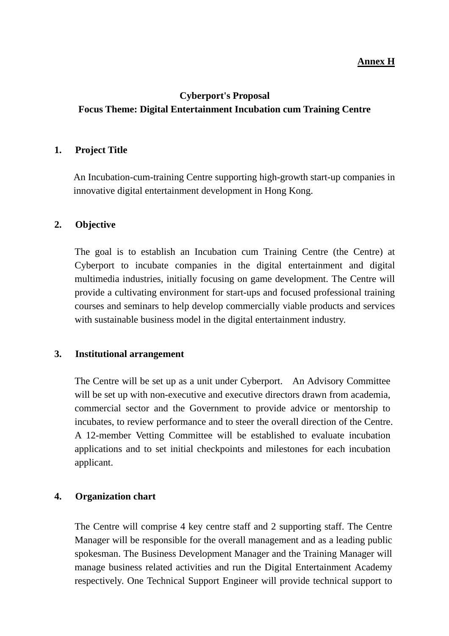#### **Annex H**

### **Cyberport's Proposal Focus Theme: Digital Entertainment Incubation cum Training Centre**

#### **1. Project Title**

An Incubation-cum-training Centre supporting high-growth start-up companies in innovative digital entertainment development in Hong Kong.

#### **2. Objective**

The goal is to establish an Incubation cum Training Centre (the Centre) at Cyberport to incubate companies in the digital entertainment and digital multimedia industries, initially focusing on game development. The Centre will provide a cultivating environment for start-ups and focused professional training courses and seminars to help develop commercially viable products and services with sustainable business model in the digital entertainment industry.

#### **3. Institutional arrangement**

The Centre will be set up as a unit under Cyberport. An Advisory Committee will be set up with non-executive and executive directors drawn from academia, commercial sector and the Government to provide advice or mentorship to incubates, to review performance and to steer the overall direction of the Centre. A 12-member Vetting Committee will be established to evaluate incubation applications and to set initial checkpoints and milestones for each incubation applicant.

#### **4. Organization chart**

The Centre will comprise 4 key centre staff and 2 supporting staff. The Centre Manager will be responsible for the overall management and as a leading public spokesman. The Business Development Manager and the Training Manager will manage business related activities and run the Digital Entertainment Academy respectively. One Technical Support Engineer will provide technical support to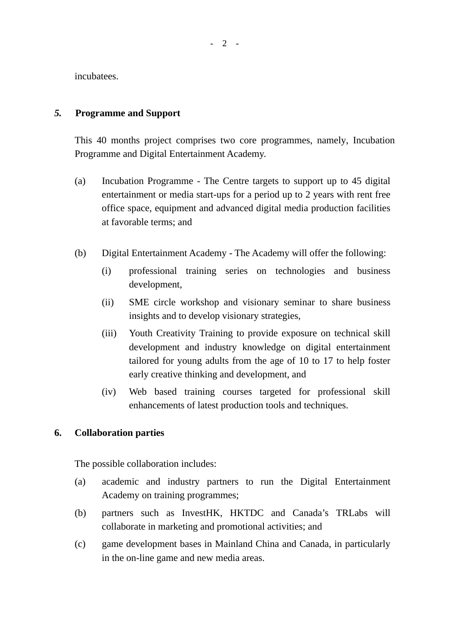- 2 -

incubatees.

#### *5.* **Programme and Support**

This 40 months project comprises two core programmes, namely, Incubation Programme and Digital Entertainment Academy.

- (a) Incubation Programme - The Centre targets to support up to 45 digital entertainment or media start-ups for a period up to 2 years with rent free office space, equipment and advanced digital media production facilities at favorable terms; and
- (b) Digital Entertainment Academy - The Academy will offer the following:
	- (i) professional training series on technologies and business development,
	- (ii) SME circle workshop and visionary seminar to share business insights and to develop visionary strategies,
	- (iii) Youth Creativity Training to provide exposure on technical skill development and industry knowledge on digital entertainment tailored for young adults from the age of 10 to 17 to help foster early creative thinking and development, and
	- (iv) Web based training courses targeted for professional skill enhancements of latest production tools and techniques.

#### **6. Collaboration parties**

The possible collaboration includes:

- (a) academic and industry partners to run the Digital Entertainment Academy on training programmes;
- (b) partners such as InvestHK, HKTDC and Canada's TRLabs will collaborate in marketing and promotional activities; and
- $(c)$ game development bases in Mainland China and Canada, in particularly in the on-line game and new media areas.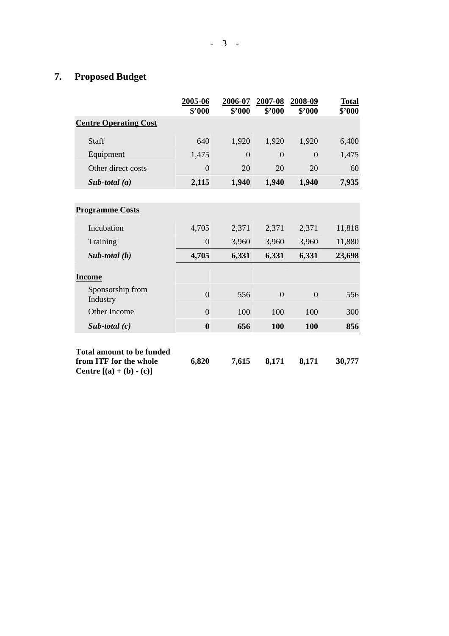# **7. Proposed Budget**

|                                                                                                 | 2005-06<br>\$2000 | 2006-07<br>\$'000 | 2007-08<br>\$'000 | 2008-09<br>\$'000 | <b>Total</b><br>\$'000 |
|-------------------------------------------------------------------------------------------------|-------------------|-------------------|-------------------|-------------------|------------------------|
| <b>Centre Operating Cost</b>                                                                    |                   |                   |                   |                   |                        |
| <b>Staff</b>                                                                                    | 640               | 1,920             | 1,920             | 1,920             | 6,400                  |
| Equipment                                                                                       | 1,475             | $\theta$          | $\Omega$          | $\Omega$          | 1,475                  |
| Other direct costs                                                                              | $\overline{0}$    | 20                | 20                | 20                | 60                     |
| Sub-total $(a)$                                                                                 | 2,115             | 1,940             | 1,940             | 1,940             | 7,935                  |
|                                                                                                 |                   |                   |                   |                   |                        |
| <b>Programme Costs</b>                                                                          |                   |                   |                   |                   |                        |
| Incubation                                                                                      | 4,705             | 2,371             | 2,371             | 2,371             | 11,818                 |
| Training                                                                                        | $\overline{0}$    | 3,960             | 3,960             | 3,960             | 11,880                 |
| $Sub$ -total $(b)$                                                                              | 4,705             | 6,331             | 6,331             | 6,331             | 23,698                 |
| <b>Income</b>                                                                                   |                   |                   |                   |                   |                        |
| Sponsorship from<br>Industry                                                                    | $\overline{0}$    | 556               | $\Omega$          | $\overline{0}$    | 556                    |
| Other Income                                                                                    | $\Omega$          | 100               | 100               | 100               | 300                    |
| Sub-total $(c)$                                                                                 | $\boldsymbol{0}$  | 656               | 100               | 100               | 856                    |
| <b>Total amount to be funded</b><br>from ITF for the whole<br><b>Centre</b> $[(a) + (b) - (c)]$ | 6,820             | 7,615             | 8,171             | 8,171             | 30,777                 |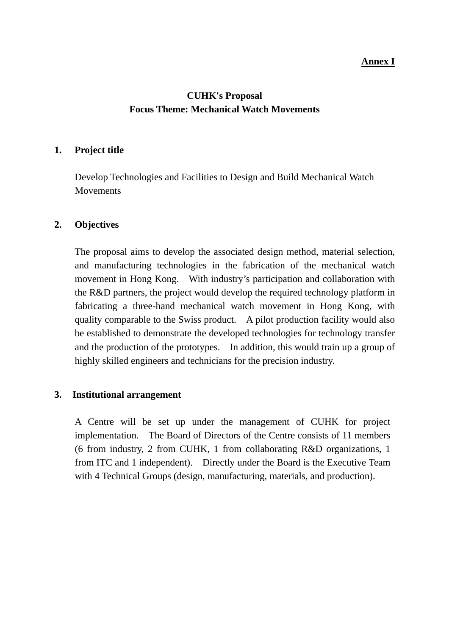#### **Annex I**

### **CUHK's Proposal Focus Theme: Mechanical Watch Movements**

#### **1. Project title**

Develop Technologies and Facilities to Design and Build Mechanical Watch **Movements** 

#### **2. Objectives**

The proposal aims to develop the associated design method, material selection, and manufacturing technologies in the fabrication of the mechanical watch movement in Hong Kong. With industry's participation and collaboration with the R&D partners, the project would develop the required technology platform in fabricating a three-hand mechanical watch movement in Hong Kong, with quality comparable to the Swiss product. A pilot production facility would also be established to demonstrate the developed technologies for technology transfer and the production of the prototypes. In addition, this would train up a group of highly skilled engineers and technicians for the precision industry.

#### **3. Institutional arrangement**

A Centre will be set up under the management of CUHK for project implementation. The Board of Directors of the Centre consists of 11 members (6 from industry, 2 from CUHK, 1 from collaborating R&D organizations, 1 from ITC and 1 independent). Directly under the Board is the Executive Team with 4 Technical Groups (design, manufacturing, materials, and production).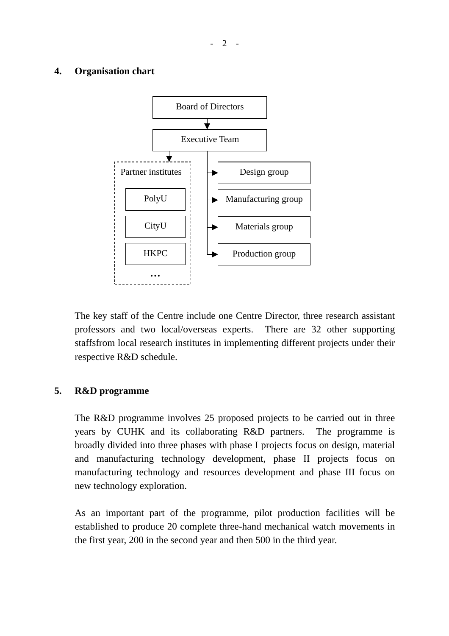#### **4. Organisation chart**



The key staff of the Centre include one Centre Director, three research assistant professors and two local/overseas experts. There are 32 other supporting staffsfrom local research institutes in implementing different projects under their respective R&D schedule.

#### **5. R&D programme**

The R&D programme involves 25 proposed projects to be carried out in three years by CUHK and its collaborating R&D partners. The programme is broadly divided into three phases with phase I projects focus on design, material and manufacturing technology development, phase II projects focus on manufacturing technology and resources development and phase III focus on new technology exploration.

As an important part of the programme, pilot production facilities will be established to produce 20 complete three-hand mechanical watch movements in the first year, 200 in the second year and then 500 in the third year.